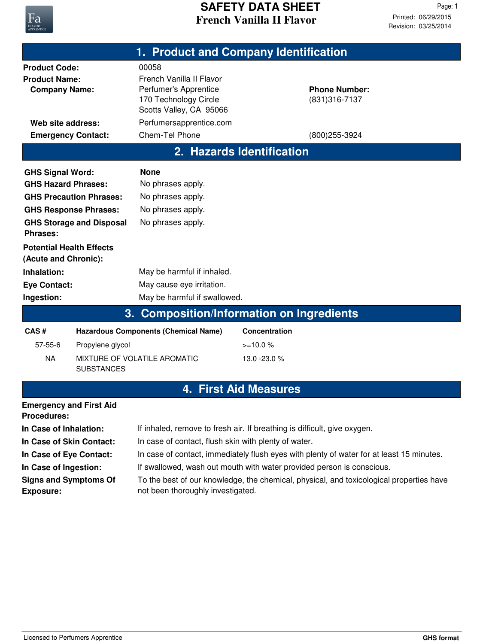

| 1. Product and Company Identification                                                                                                                                                   |                                                                                                         |                                                                                                                                                                                            |                                               |  |  |
|-----------------------------------------------------------------------------------------------------------------------------------------------------------------------------------------|---------------------------------------------------------------------------------------------------------|--------------------------------------------------------------------------------------------------------------------------------------------------------------------------------------------|-----------------------------------------------|--|--|
| <b>Product Code:</b><br><b>Product Name:</b><br><b>Company Name:</b><br>Web site address:                                                                                               |                                                                                                         | 00058<br>French Vanilla II Flavor<br>Perfumer's Apprentice<br>170 Technology Circle<br>Scotts Valley, CA 95066<br>Perfumersapprentice.com                                                  | <b>Phone Number:</b><br>(831) 316-7137        |  |  |
| <b>Emergency Contact:</b>                                                                                                                                                               |                                                                                                         | Chem-Tel Phone                                                                                                                                                                             | (800) 255-3924                                |  |  |
|                                                                                                                                                                                         |                                                                                                         |                                                                                                                                                                                            | 2. Hazards Identification                     |  |  |
| <b>GHS Signal Word:</b><br><b>GHS Hazard Phrases:</b><br><b>Phrases:</b><br><b>Potential Health Effects</b><br>(Acute and Chronic):<br>Inhalation:<br><b>Eye Contact:</b><br>Ingestion: | <b>GHS Precaution Phrases:</b><br><b>GHS Response Phrases:</b><br><b>GHS Storage and Disposal</b><br>3. | <b>None</b><br>No phrases apply.<br>No phrases apply.<br>No phrases apply.<br>No phrases apply.<br>May be harmful if inhaled.<br>May cause eye irritation.<br>May be harmful if swallowed. | <b>Composition/Information on Ingredients</b> |  |  |
| CAS#                                                                                                                                                                                    |                                                                                                         | <b>Hazardous Components (Chemical Name)</b>                                                                                                                                                | Concentration                                 |  |  |
| 57-55-6                                                                                                                                                                                 | Propylene glycol                                                                                        |                                                                                                                                                                                            | $>=10.0%$                                     |  |  |
| <b>NA</b>                                                                                                                                                                               | <b>SUBSTANCES</b>                                                                                       | MIXTURE OF VOLATILE AROMATIC                                                                                                                                                               | 13.0 - 23.0 %                                 |  |  |
|                                                                                                                                                                                         |                                                                                                         |                                                                                                                                                                                            | <b>4. First Aid Measures</b>                  |  |  |
| <b>Emergency and First Aid</b><br><b>Procedures:</b>                                                                                                                                    |                                                                                                         |                                                                                                                                                                                            |                                               |  |  |
| In Case of Inhalation:                                                                                                                                                                  |                                                                                                         | If inhaled, remove to fresh air. If breathing is difficult, give oxygen.                                                                                                                   |                                               |  |  |
| In Case of Skin Contact:                                                                                                                                                                |                                                                                                         | In case of contact, flush skin with plenty of water.                                                                                                                                       |                                               |  |  |
| In Case of Eye Contact:                                                                                                                                                                 |                                                                                                         | In case of contact, immediately flush eyes with plenty of water for at least 15 minutes.                                                                                                   |                                               |  |  |

In Case of Ingestion: If swallowed, wash out mouth with water provided person is conscious.

**Signs and Symptoms Of Exposure:**

To the best of our knowledge, the chemical, physical, and toxicological properties have not been thoroughly investigated.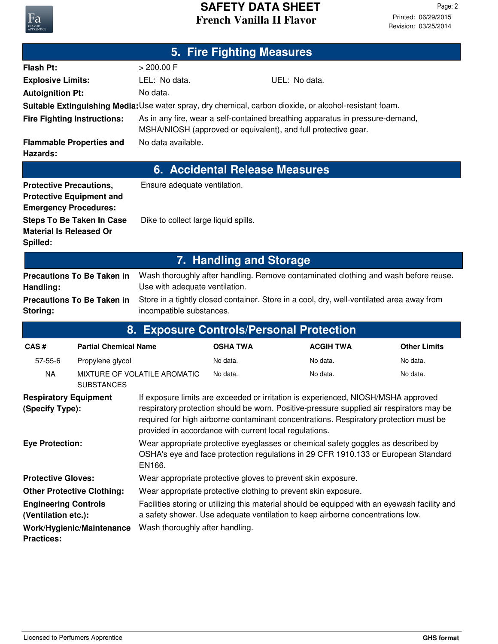

| <b>5. Fire Fighting Measures</b>                               |                                    |                                                                                                                                                                                                                                                                                                                                  |                 |                                                                                                                                                 |                     |  |
|----------------------------------------------------------------|------------------------------------|----------------------------------------------------------------------------------------------------------------------------------------------------------------------------------------------------------------------------------------------------------------------------------------------------------------------------------|-----------------|-------------------------------------------------------------------------------------------------------------------------------------------------|---------------------|--|
| <b>Flash Pt:</b>                                               |                                    | > 200.00 F                                                                                                                                                                                                                                                                                                                       |                 |                                                                                                                                                 |                     |  |
| <b>Explosive Limits:</b>                                       |                                    | LEL: No data.                                                                                                                                                                                                                                                                                                                    |                 | UEL: No data.                                                                                                                                   |                     |  |
| <b>Autoignition Pt:</b>                                        |                                    | No data.                                                                                                                                                                                                                                                                                                                         |                 |                                                                                                                                                 |                     |  |
|                                                                |                                    |                                                                                                                                                                                                                                                                                                                                  |                 | Suitable Extinguishing Media: Use water spray, dry chemical, carbon dioxide, or alcohol-resistant foam.                                         |                     |  |
|                                                                | <b>Fire Fighting Instructions:</b> |                                                                                                                                                                                                                                                                                                                                  |                 | As in any fire, wear a self-contained breathing apparatus in pressure-demand,<br>MSHA/NIOSH (approved or equivalent), and full protective gear. |                     |  |
| Hazards:                                                       | <b>Flammable Properties and</b>    | No data available.                                                                                                                                                                                                                                                                                                               |                 |                                                                                                                                                 |                     |  |
| <b>6. Accidental Release Measures</b>                          |                                    |                                                                                                                                                                                                                                                                                                                                  |                 |                                                                                                                                                 |                     |  |
| <b>Protective Precautions,</b><br><b>Emergency Procedures:</b> | <b>Protective Equipment and</b>    | Ensure adequate ventilation.                                                                                                                                                                                                                                                                                                     |                 |                                                                                                                                                 |                     |  |
| <b>Material Is Released Or</b><br>Spilled:                     | <b>Steps To Be Taken In Case</b>   | Dike to collect large liquid spills.                                                                                                                                                                                                                                                                                             |                 |                                                                                                                                                 |                     |  |
| 7. Handling and Storage                                        |                                    |                                                                                                                                                                                                                                                                                                                                  |                 |                                                                                                                                                 |                     |  |
| Handling:                                                      | <b>Precautions To Be Taken in</b>  | Use with adequate ventilation.                                                                                                                                                                                                                                                                                                   |                 | Wash thoroughly after handling. Remove contaminated clothing and wash before reuse.                                                             |                     |  |
| Storing:                                                       | <b>Precautions To Be Taken in</b>  | incompatible substances.                                                                                                                                                                                                                                                                                                         |                 | Store in a tightly closed container. Store in a cool, dry, well-ventilated area away from                                                       |                     |  |
|                                                                | 8.                                 |                                                                                                                                                                                                                                                                                                                                  |                 | <b>Exposure Controls/Personal Protection</b>                                                                                                    |                     |  |
| CAS#                                                           | <b>Partial Chemical Name</b>       |                                                                                                                                                                                                                                                                                                                                  | <b>OSHA TWA</b> | <b>ACGIH TWA</b>                                                                                                                                | <b>Other Limits</b> |  |
| $57 - 55 - 6$                                                  | Propylene glycol                   |                                                                                                                                                                                                                                                                                                                                  | No data.        | No data.                                                                                                                                        | No data.            |  |
| <b>NA</b>                                                      | <b>SUBSTANCES</b>                  | MIXTURE OF VOLATILE AROMATIC                                                                                                                                                                                                                                                                                                     | No data.        | No data.                                                                                                                                        | No data.            |  |
| <b>Respiratory Equipment</b><br>(Specify Type):                |                                    | If exposure limits are exceeded or irritation is experienced, NIOSH/MSHA approved<br>respiratory protection should be worn. Positive-pressure supplied air respirators may be<br>required for high airborne contaminant concentrations. Respiratory protection must be<br>provided in accordance with current local regulations. |                 |                                                                                                                                                 |                     |  |
| <b>Eye Protection:</b>                                         |                                    | Wear appropriate protective eyeglasses or chemical safety goggles as described by<br>OSHA's eye and face protection regulations in 29 CFR 1910.133 or European Standard<br>EN166.                                                                                                                                                |                 |                                                                                                                                                 |                     |  |
| <b>Protective Gloves:</b>                                      |                                    | Wear appropriate protective gloves to prevent skin exposure.                                                                                                                                                                                                                                                                     |                 |                                                                                                                                                 |                     |  |
| <b>Other Protective Clothing:</b>                              |                                    | Wear appropriate protective clothing to prevent skin exposure.                                                                                                                                                                                                                                                                   |                 |                                                                                                                                                 |                     |  |
| <b>Engineering Controls</b>                                    |                                    | Facilities storing or utilizing this material should be equipped with an eyewash facility and                                                                                                                                                                                                                                    |                 |                                                                                                                                                 |                     |  |

a safety shower. Use adequate ventilation to keep airborne concentrations low. **(Ventilation etc.): Work/Hygienic/Maintenance** Wash thoroughly after handling.

**Practices:**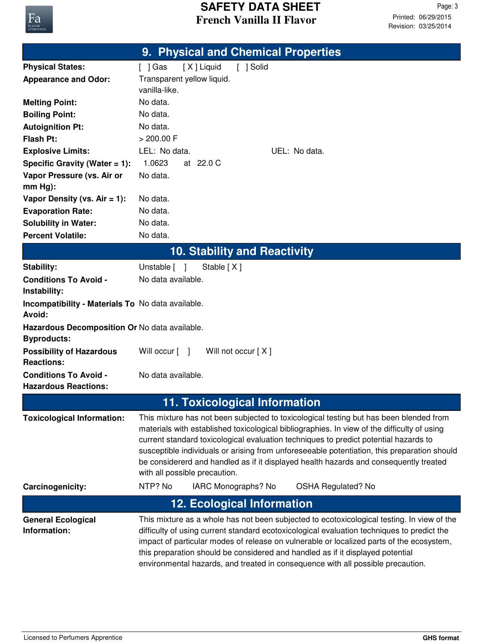

|                                                                     | 9. Physical and Chemical Properties                                                                                                                                                                                                                                                                                                                                                                                                                                                                                                      |  |
|---------------------------------------------------------------------|------------------------------------------------------------------------------------------------------------------------------------------------------------------------------------------------------------------------------------------------------------------------------------------------------------------------------------------------------------------------------------------------------------------------------------------------------------------------------------------------------------------------------------------|--|
| <b>Physical States:</b>                                             | [X] Liquid<br>[ ] Solid<br>$[$ ] Gas                                                                                                                                                                                                                                                                                                                                                                                                                                                                                                     |  |
| <b>Appearance and Odor:</b>                                         | Transparent yellow liquid.                                                                                                                                                                                                                                                                                                                                                                                                                                                                                                               |  |
|                                                                     | vanilla-like.                                                                                                                                                                                                                                                                                                                                                                                                                                                                                                                            |  |
| <b>Melting Point:</b>                                               | No data.                                                                                                                                                                                                                                                                                                                                                                                                                                                                                                                                 |  |
| <b>Boiling Point:</b>                                               | No data.                                                                                                                                                                                                                                                                                                                                                                                                                                                                                                                                 |  |
| <b>Autoignition Pt:</b>                                             | No data.                                                                                                                                                                                                                                                                                                                                                                                                                                                                                                                                 |  |
| <b>Flash Pt:</b>                                                    | > 200.00 F                                                                                                                                                                                                                                                                                                                                                                                                                                                                                                                               |  |
| <b>Explosive Limits:</b>                                            | LEL: No data.<br>UEL: No data.                                                                                                                                                                                                                                                                                                                                                                                                                                                                                                           |  |
| Specific Gravity (Water $= 1$ ):                                    | 1.0623<br>at 22.0 C                                                                                                                                                                                                                                                                                                                                                                                                                                                                                                                      |  |
| Vapor Pressure (vs. Air or<br>$mm Hg$ :                             | No data.                                                                                                                                                                                                                                                                                                                                                                                                                                                                                                                                 |  |
| Vapor Density (vs. $Air = 1$ ):                                     | No data.                                                                                                                                                                                                                                                                                                                                                                                                                                                                                                                                 |  |
| <b>Evaporation Rate:</b>                                            | No data.                                                                                                                                                                                                                                                                                                                                                                                                                                                                                                                                 |  |
| <b>Solubility in Water:</b>                                         | No data.                                                                                                                                                                                                                                                                                                                                                                                                                                                                                                                                 |  |
| <b>Percent Volatile:</b>                                            | No data.                                                                                                                                                                                                                                                                                                                                                                                                                                                                                                                                 |  |
|                                                                     | <b>10. Stability and Reactivity</b>                                                                                                                                                                                                                                                                                                                                                                                                                                                                                                      |  |
| Stability:                                                          | Unstable [ ]<br>Stable [X]                                                                                                                                                                                                                                                                                                                                                                                                                                                                                                               |  |
| <b>Conditions To Avoid -</b><br>Instability:                        | No data available.                                                                                                                                                                                                                                                                                                                                                                                                                                                                                                                       |  |
| Incompatibility - Materials To No data available.<br>Avoid:         |                                                                                                                                                                                                                                                                                                                                                                                                                                                                                                                                          |  |
| Hazardous Decomposition Or No data available.<br><b>Byproducts:</b> |                                                                                                                                                                                                                                                                                                                                                                                                                                                                                                                                          |  |
| <b>Possibility of Hazardous</b><br><b>Reactions:</b>                | Will not occur [X]<br>Will occur [ ]                                                                                                                                                                                                                                                                                                                                                                                                                                                                                                     |  |
| <b>Conditions To Avoid -</b><br><b>Hazardous Reactions:</b>         | No data available.                                                                                                                                                                                                                                                                                                                                                                                                                                                                                                                       |  |
| <b>11. Toxicological Information</b>                                |                                                                                                                                                                                                                                                                                                                                                                                                                                                                                                                                          |  |
| <b>Toxicological Information:</b>                                   | This mixture has not been subjected to toxicological testing but has been blended from<br>materials with established toxicological bibliographies. In view of the difficulty of using<br>current standard toxicological evaluation techniques to predict potential hazards to<br>susceptible individuals or arising from unforeseeable potentiation, this preparation should<br>be considererd and handled as if it displayed health hazards and consequently treated<br>with all possible precaution.<br>NTP? No<br>IARC Monographs? No |  |
| Carcinogenicity:                                                    | <b>OSHA Regulated? No</b>                                                                                                                                                                                                                                                                                                                                                                                                                                                                                                                |  |
|                                                                     | <b>12. Ecological Information</b>                                                                                                                                                                                                                                                                                                                                                                                                                                                                                                        |  |
| <b>General Ecological</b><br>Information:                           | This mixture as a whole has not been subjected to ecotoxicological testing. In view of the<br>difficulty of using current standard ecotoxicological evaluation techniques to predict the<br>impact of particular modes of release on vulnerable or localized parts of the ecosystem,<br>this preparation should be considered and handled as if it displayed potential<br>environmental hazards, and treated in consequence with all possible precaution.                                                                                |  |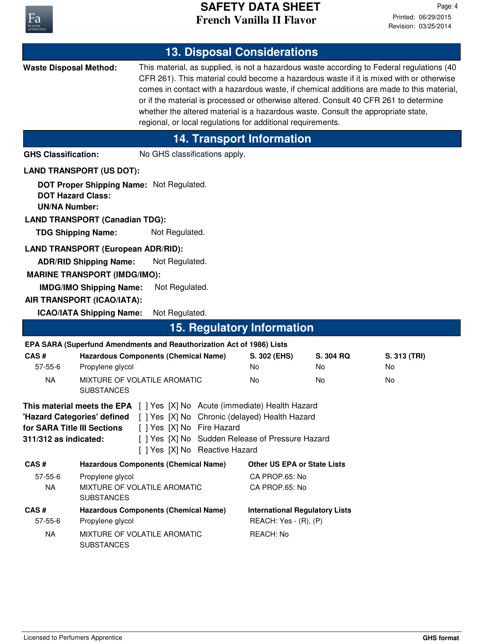

| <b>13. Disposal Considerations</b>                                                                                                                                                                                                                                                                                                          |                                                                                                                                                                                         |                                                                                                                                                  |                                       |           |                                                                                                                                                                                                                                                                                                                                                                            |
|---------------------------------------------------------------------------------------------------------------------------------------------------------------------------------------------------------------------------------------------------------------------------------------------------------------------------------------------|-----------------------------------------------------------------------------------------------------------------------------------------------------------------------------------------|--------------------------------------------------------------------------------------------------------------------------------------------------|---------------------------------------|-----------|----------------------------------------------------------------------------------------------------------------------------------------------------------------------------------------------------------------------------------------------------------------------------------------------------------------------------------------------------------------------------|
| <b>Waste Disposal Method:</b>                                                                                                                                                                                                                                                                                                               |                                                                                                                                                                                         | whether the altered material is a hazardous waste. Consult the appropriate state,<br>regional, or local regulations for additional requirements. |                                       |           | This material, as supplied, is not a hazardous waste according to Federal regulations (40<br>CFR 261). This material could become a hazardous waste if it is mixed with or otherwise<br>comes in contact with a hazardous waste, if chemical additions are made to this material,<br>or if the material is processed or otherwise altered. Consult 40 CFR 261 to determine |
|                                                                                                                                                                                                                                                                                                                                             |                                                                                                                                                                                         | <b>14. Transport Information</b>                                                                                                                 |                                       |           |                                                                                                                                                                                                                                                                                                                                                                            |
| <b>GHS Classification:</b>                                                                                                                                                                                                                                                                                                                  |                                                                                                                                                                                         | No GHS classifications apply.                                                                                                                    |                                       |           |                                                                                                                                                                                                                                                                                                                                                                            |
|                                                                                                                                                                                                                                                                                                                                             | <b>LAND TRANSPORT (US DOT):</b>                                                                                                                                                         |                                                                                                                                                  |                                       |           |                                                                                                                                                                                                                                                                                                                                                                            |
| <b>DOT Hazard Class:</b><br><b>UN/NA Number:</b><br><b>TDG Shipping Name:</b>                                                                                                                                                                                                                                                               | DOT Proper Shipping Name: Not Regulated.<br><b>LAND TRANSPORT (Canadian TDG):</b><br>Not Regulated.                                                                                     |                                                                                                                                                  |                                       |           |                                                                                                                                                                                                                                                                                                                                                                            |
|                                                                                                                                                                                                                                                                                                                                             |                                                                                                                                                                                         |                                                                                                                                                  |                                       |           |                                                                                                                                                                                                                                                                                                                                                                            |
|                                                                                                                                                                                                                                                                                                                                             | <b>LAND TRANSPORT (European ADR/RID):</b><br>Not Regulated.<br><b>ADR/RID Shipping Name:</b><br><b>MARINE TRANSPORT (IMDG/IMO):</b><br><b>IMDG/IMO Shipping Name:</b><br>Not Regulated. |                                                                                                                                                  |                                       |           |                                                                                                                                                                                                                                                                                                                                                                            |
|                                                                                                                                                                                                                                                                                                                                             | AIR TRANSPORT (ICAO/IATA):                                                                                                                                                              |                                                                                                                                                  |                                       |           |                                                                                                                                                                                                                                                                                                                                                                            |
|                                                                                                                                                                                                                                                                                                                                             | <b>ICAO/IATA Shipping Name:</b><br>Not Regulated.                                                                                                                                       | <b>15. Regulatory Information</b>                                                                                                                |                                       |           |                                                                                                                                                                                                                                                                                                                                                                            |
|                                                                                                                                                                                                                                                                                                                                             | EPA SARA (Superfund Amendments and Reauthorization Act of 1986) Lists                                                                                                                   |                                                                                                                                                  |                                       |           |                                                                                                                                                                                                                                                                                                                                                                            |
| CAS#                                                                                                                                                                                                                                                                                                                                        | <b>Hazardous Components (Chemical Name)</b>                                                                                                                                             |                                                                                                                                                  | S. 302 (EHS)                          | S. 304 RQ | S. 313 (TRI)                                                                                                                                                                                                                                                                                                                                                               |
| $57 - 55 - 6$                                                                                                                                                                                                                                                                                                                               | Propylene glycol                                                                                                                                                                        |                                                                                                                                                  | No                                    | No        | No                                                                                                                                                                                                                                                                                                                                                                         |
| <b>NA</b>                                                                                                                                                                                                                                                                                                                                   | MIXTURE OF VOLATILE AROMATIC<br><b>SUBSTANCES</b>                                                                                                                                       |                                                                                                                                                  | No                                    | No        | No                                                                                                                                                                                                                                                                                                                                                                         |
| <b>This material meets the EPA</b> [ ] Yes [X] No Acute (immediate) Health Hazard<br>"Hazard Categories' defined [ ] Yes [X] No Chronic (delayed) Health Hazard<br>[ ] Yes [X] No Fire Hazard<br>for SARA Title III Sections<br>[ ] Yes [X] No Sudden Release of Pressure Hazard<br>311/312 as indicated:<br>[ ] Yes [X] No Reactive Hazard |                                                                                                                                                                                         |                                                                                                                                                  |                                       |           |                                                                                                                                                                                                                                                                                                                                                                            |
| CAS#                                                                                                                                                                                                                                                                                                                                        | <b>Hazardous Components (Chemical Name)</b>                                                                                                                                             |                                                                                                                                                  | <b>Other US EPA or State Lists</b>    |           |                                                                                                                                                                                                                                                                                                                                                                            |
| $57 - 55 - 6$<br><b>NA</b>                                                                                                                                                                                                                                                                                                                  | Propylene glycol<br>MIXTURE OF VOLATILE AROMATIC<br><b>SUBSTANCES</b>                                                                                                                   |                                                                                                                                                  | CA PROP.65: No<br>CA PROP.65: No      |           |                                                                                                                                                                                                                                                                                                                                                                            |
| CAS#                                                                                                                                                                                                                                                                                                                                        | <b>Hazardous Components (Chemical Name)</b>                                                                                                                                             |                                                                                                                                                  | <b>International Regulatory Lists</b> |           |                                                                                                                                                                                                                                                                                                                                                                            |
| $57 - 55 - 6$                                                                                                                                                                                                                                                                                                                               | Propylene glycol                                                                                                                                                                        |                                                                                                                                                  | REACH: Yes - (R), (P)                 |           |                                                                                                                                                                                                                                                                                                                                                                            |
| <b>NA</b>                                                                                                                                                                                                                                                                                                                                   | MIXTURE OF VOLATILE AROMATIC<br><b>SUBSTANCES</b>                                                                                                                                       |                                                                                                                                                  | REACH: No                             |           |                                                                                                                                                                                                                                                                                                                                                                            |